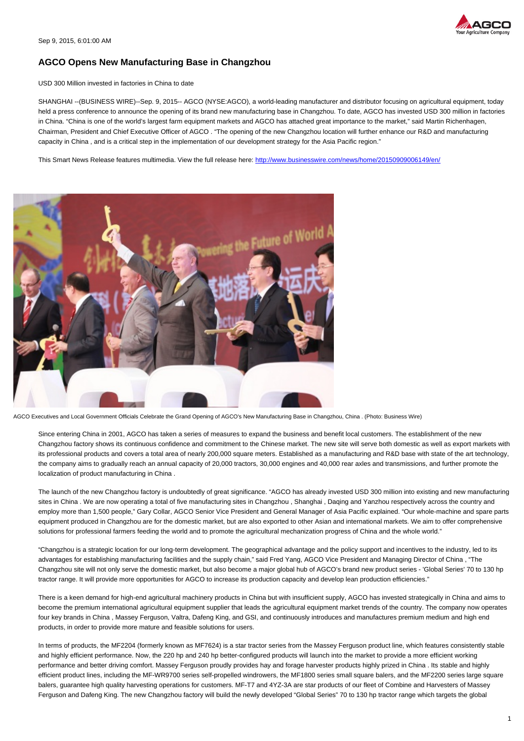

## **AGCO Opens New Manufacturing Base in Changzhou**

USD 300 Million invested in factories in China to date

SHANGHAI --(BUSINESS WIRE)--Sep. 9, 2015-- AGCO (NYSE:AGCO), a world-leading manufacturer and distributor focusing on agricultural equipment, today held a press conference to announce the opening of its brand new manufacturing base in Changzhou. To date, AGCO has invested USD 300 million in factories in China. "China is one of the world's largest farm equipment markets and AGCO has attached great importance to the market," said Martin Richenhagen, Chairman, President and Chief Executive Officer of AGCO . "The opening of the new Changzhou location will further enhance our R&D and manufacturing capacity in China , and is a critical step in the implementation of our development strategy for the Asia Pacific region."

This Smart News Release features multimedia. View the full release here:<http://www.businesswire.com/news/home/20150909006149/en/>



AGCO Executives and Local Government Officials Celebrate the Grand Opening of AGCO's New Manufacturing Base in Changzhou, China . (Photo: Business Wire)

Since entering China in 2001, AGCO has taken a series of measures to expand the business and benefit local customers. The establishment of the new Changzhou factory shows its continuous confidence and commitment to the Chinese market. The new site will serve both domestic as well as export markets with its professional products and covers a total area of nearly 200,000 square meters. Established as a manufacturing and R&D base with state of the art technology, the company aims to gradually reach an annual capacity of 20,000 tractors, 30,000 engines and 40,000 rear axles and transmissions, and further promote the localization of product manufacturing in China .

The launch of the new Changzhou factory is undoubtedly of great significance. "AGCO has already invested USD 300 million into existing and new manufacturing sites in China . We are now operating a total of five manufacturing sites in Changzhou , Shanghai , Daging and Yanzhou respectively across the country and employ more than 1,500 people," Gary Collar, AGCO Senior Vice President and General Manager of Asia Pacific explained. "Our whole-machine and spare parts equipment produced in Changzhou are for the domestic market, but are also exported to other Asian and international markets. We aim to offer comprehensive solutions for professional farmers feeding the world and to promote the agricultural mechanization progress of China and the whole world."

"Changzhou is a strategic location for our long-term development. The geographical advantage and the policy support and incentives to the industry, led to its advantages for establishing manufacturing facilities and the supply chain," said Fred Yang, AGCO Vice President and Managing Director of China , "The Changzhou site will not only serve the domestic market, but also become a major global hub of AGCO's brand new product series - 'Global Series' 70 to 130 hp tractor range. It will provide more opportunities for AGCO to increase its production capacity and develop lean production efficiencies."

There is a keen demand for high-end agricultural machinery products in China but with insufficient supply, AGCO has invested strategically in China and aims to become the premium international agricultural equipment supplier that leads the agricultural equipment market trends of the country. The company now operates four key brands in China , Massey Ferguson, Valtra, Dafeng King, and GSI, and continuously introduces and manufactures premium medium and high end products, in order to provide more mature and feasible solutions for users.

In terms of products, the MF2204 (formerly known as MF7624) is a star tractor series from the Massey Ferguson product line, which features consistently stable and highly efficient performance. Now, the 220 hp and 240 hp better-configured products will launch into the market to provide a more efficient working performance and better driving comfort. Massey Ferguson proudly provides hay and forage harvester products highly prized in China . Its stable and highly efficient product lines, including the MF-WR9700 series self-propelled windrowers, the MF1800 series small square balers, and the MF2200 series large square balers, guarantee high quality harvesting operations for customers. MF-T7 and 4YZ-3A are star products of our fleet of Combine and Harvesters of Massey Ferguson and Dafeng King. The new Changzhou factory will build the newly developed "Global Series" 70 to 130 hp tractor range which targets the global